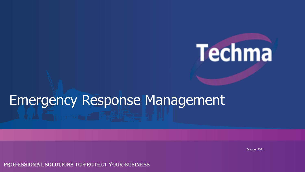# **Techma**

# Emergency Response Management

October 2021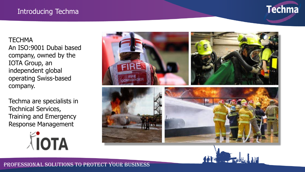#### Introducing Techma



**TECHMA** An ISO:9001 Dubai based company, owned by the IOTA Group, an independent global operating Swiss-based company.

Techma are specialists in Technical Services, Training and Emergency Response Management

AIOTA



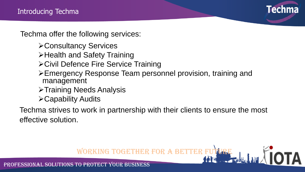

Techma offer the following services:

- ➢Consultancy Services
- ➢Health and Safety Training
- ➢Civil Defence Fire Service Training
- ➢Emergency Response Team personnel provision, training and management
- ➢Training Needs Analysis
- ➢Capability Audits

Techma strives to work in partnership with their clients to ensure the most effective solution.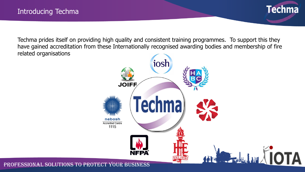

Techma prides itself on providing high quality and consistent training programmes. To support this they have gained accreditation from these Internationally recognised awarding bodies and membership of fire related organisations

![](_page_3_Figure_3.jpeg)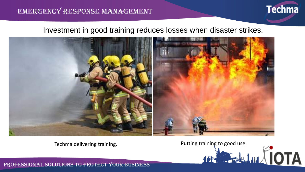#### EMERGENCY RESPONSE MANAGEMENT

![](_page_4_Picture_1.jpeg)

#### Investment in good training reduces losses when disaster strikes.

![](_page_4_Picture_3.jpeg)

Techma delivering training.<br>
The contract of the straining of the contract of the contract of the contract of the contract of the contract of the contract of the contract of the contract of the contract of the contract of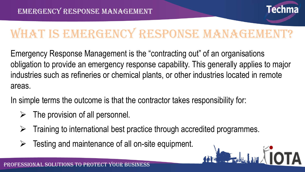![](_page_5_Picture_1.jpeg)

**DELLA TOTA** 

# WHAT IS EMERGENCY RESPONSE MANAGEMENT?

Emergency Response Management is the "contracting out" of an organisations obligation to provide an emergency response capability. This generally applies to major industries such as refineries or chemical plants, or other industries located in remote areas.

In simple terms the outcome is that the contractor takes responsibility for:

- The provision of all personnel.
- ➢ Training to international best practice through accredited programmes.
- Testing and maintenance of all on-site equipment.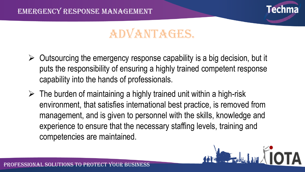![](_page_6_Picture_1.jpeg)

## **ADVANTAGES.**

- $\triangleright$  Outsourcing the emergency response capability is a big decision, but it puts the responsibility of ensuring a highly trained competent response capability into the hands of professionals.
- $\triangleright$  The burden of maintaining a highly trained unit within a high-risk environment, that satisfies international best practice, is removed from management, and is given to personnel with the skills, knowledge and experience to ensure that the necessary staffing levels, training and competencies are maintained.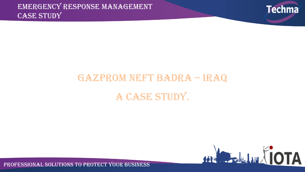![](_page_7_Picture_1.jpeg)

# Gazprom Neft Badra – Iraq A CASE STUDY.

![](_page_7_Picture_3.jpeg)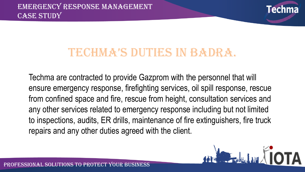![](_page_8_Picture_1.jpeg)

### TECHMA'S DUTIES IN BADRA.

Techma are contracted to provide Gazprom with the personnel that will ensure emergency response, firefighting services, oil spill response, rescue from confined space and fire, rescue from height, consultation services and any other services related to emergency response including but not limited to inspections, audits, ER drills, maintenance of fire extinguishers, fire truck repairs and any other duties agreed with the client.

![](_page_8_Picture_4.jpeg)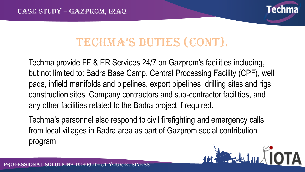![](_page_9_Picture_1.jpeg)

# Techma's duTies (conT).

Techma provide FF & ER Services 24/7 on Gazprom's facilities including, but not limited to: Badra Base Camp, Central Processing Facility (CPF), well pads, infield manifolds and pipelines, export pipelines, drilling sites and rigs, construction sites, Company contractors and sub-contractor facilities, and any other facilities related to the Badra project if required.

Techma's personnel also respond to civil firefighting and emergency calls from local villages in Badra area as part of Gazprom social contribution program.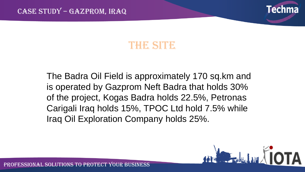![](_page_10_Picture_1.jpeg)

### **THER SITER**

The Badra Oil Field is approximately 170 sq.km and is operated by Gazprom Neft Badra that holds 30% of the project, Kogas Badra holds 22.5%, Petronas Carigali Iraq holds 15%, TPOC Ltd hold 7.5% while Iraq Oil Exploration Company holds 25%.

![](_page_10_Picture_4.jpeg)

OFESSIONAL SOLUTIONS TO PROTECT YOUR BUSINESS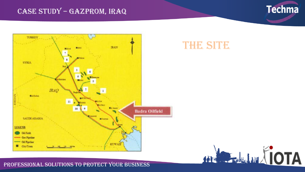#### CASE STUDY – Gazprom, Iraq

![](_page_11_Picture_1.jpeg)

![](_page_11_Figure_2.jpeg)

### **THE SITE**

![](_page_11_Picture_4.jpeg)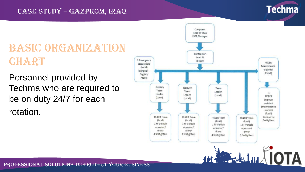#### CASE STUDY – Gazprom, Iraq

![](_page_12_Picture_1.jpeg)

### **BASIC ORGANIZATION** CHART

Personnel provided by Techma who are required to be on duty 24/7 for each rotation.

![](_page_12_Figure_4.jpeg)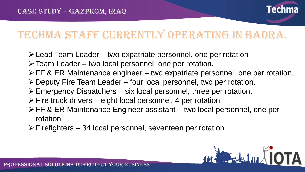![](_page_13_Picture_1.jpeg)

## Techma staff currently operating in Badra.

- ➢Lead Team Leader two expatriate personnel, one per rotation
- ➢Team Leader two local personnel, one per rotation.
- ➢FF & ER Maintenance engineer two expatriate personnel, one per rotation.
- ➢Deputy Fire Team Leader four local personnel, two per rotation.
- ➢Emergency Dispatchers six local personnel, three per rotation.
- $\triangleright$  Fire truck drivers eight local personnel, 4 per rotation.
- ➢FF & ER Maintenance Engineer assistant two local personnel, one per rotation.
- ➢Firefighters 34 local personnel, seventeen per rotation.

![](_page_13_Picture_11.jpeg)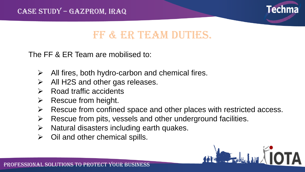![](_page_14_Picture_1.jpeg)

### FF & ER TEAM DUTIES.

The FF & ER Team are mobilised to:

- $\triangleright$  All fires, both hydro-carbon and chemical fires.
- ➢ All H2S and other gas releases.
- $\triangleright$  Road traffic accidents
- ➢ Rescue from height.
- $\triangleright$  Rescue from confined space and other places with restricted access.
- $\triangleright$  Rescue from pits, vessels and other underground facilities.
- $\triangleright$  Natural disasters including earth quakes.
- $\triangleright$  Oil and other chemical spills.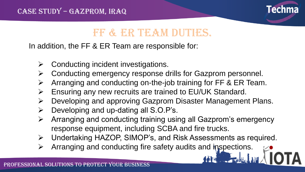![](_page_15_Picture_1.jpeg)

### FF & ER TEAM DUTIES.

In addition, the FF & ER Team are responsible for:

- ➢ Conducting incident investigations.
- ➢ Conducting emergency response drills for Gazprom personnel.
- ➢ Arranging and conducting on-the-job training for FF & ER Team.
- ➢ Ensuring any new recruits are trained to EU/UK Standard.
- ➢ Developing and approving Gazprom Disaster Management Plans.
- ➢ Developing and up-dating all S.O.P's.
- ➢ Arranging and conducting training using all Gazprom's emergency response equipment, including SCBA and fire trucks.
- ➢ Undertaking HAZOP, SIMOP's, and Risk Assessments as required.
- ➢ Arranging and conducting fire safety audits and inspections.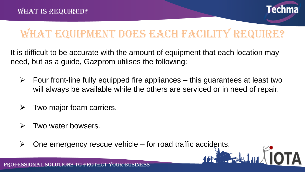![](_page_16_Picture_1.jpeg)

**FALLITATIOTA** 

### WHAT EQUIPMENT DOES EACH FACILITY REQUIRE?

It is difficult to be accurate with the amount of equipment that each location may need, but as a guide, Gazprom utilises the following:

- $\triangleright$  Four front-line fully equipped fire appliances this guarantees at least two will always be available while the others are serviced or in need of repair.
- Two major foam carriers.
- ➢ Two water bowsers.
- $\triangleright$  One emergency rescue vehicle for road traffic accidents.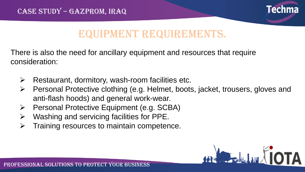![](_page_17_Picture_1.jpeg)

### Equipment requirements.

There is also the need for ancillary equipment and resources that require consideration:

- ➢ Restaurant, dormitory, wash-room facilities etc.
- ➢ Personal Protective clothing (e.g. Helmet, boots, jacket, trousers, gloves and anti-flash hoods) and general work-wear.
- ➢ Personal Protective Equipment (e.g. SCBA)
- ➢ Washing and servicing facilities for PPE.
- ➢ Training resources to maintain competence.

![](_page_17_Picture_9.jpeg)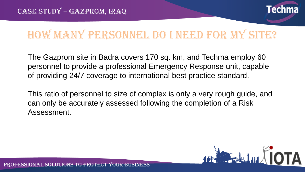![](_page_18_Picture_1.jpeg)

## HOW MANY PERSONNEL DO I NEED FOR MY SITE?

The Gazprom site in Badra covers 170 sq. km, and Techma employ 60 personnel to provide a professional Emergency Response unit, capable of providing 24/7 coverage to international best practice standard.

This ratio of personnel to size of complex is only a very rough guide, and can only be accurately assessed following the completion of a Risk Assessment.

![](_page_18_Picture_5.jpeg)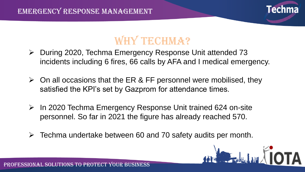PFESSIONAL SOLUTIONS TO PROTECT YOUR BUSINESS

![](_page_19_Picture_1.jpeg)

### WHY TECHMA?

- ➢ During 2020, Techma Emergency Response Unit attended 73 incidents including 6 fires, 66 calls by AFA and I medical emergency.
- $\triangleright$  On all occasions that the ER & FF personnel were mobilised, they satisfied the KPI's set by Gazprom for attendance times.
- ➢ In 2020 Techma Emergency Response Unit trained 624 on-site personnel. So far in 2021 the figure has already reached 570.
- $\triangleright$  Techma undertake between 60 and 70 safety audits per month.

![](_page_19_Picture_7.jpeg)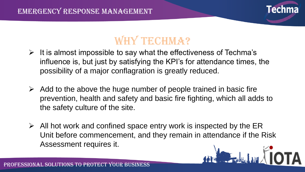![](_page_20_Picture_1.jpeg)

### WHY TECHMA?

- $\triangleright$  It is almost impossible to say what the effectiveness of Techma's influence is, but just by satisfying the KPI's for attendance times, the possibility of a major conflagration is greatly reduced.
- $\triangleright$  Add to the above the huge number of people trained in basic fire prevention, health and safety and basic fire fighting, which all adds to the safety culture of the site.
- $\triangleright$  All hot work and confined space entry work is inspected by the ER Unit before commencement, and they remain in attendance if the Risk Assessment requires it.**MARIAL HIP ATOTA**

![](_page_20_Picture_6.jpeg)